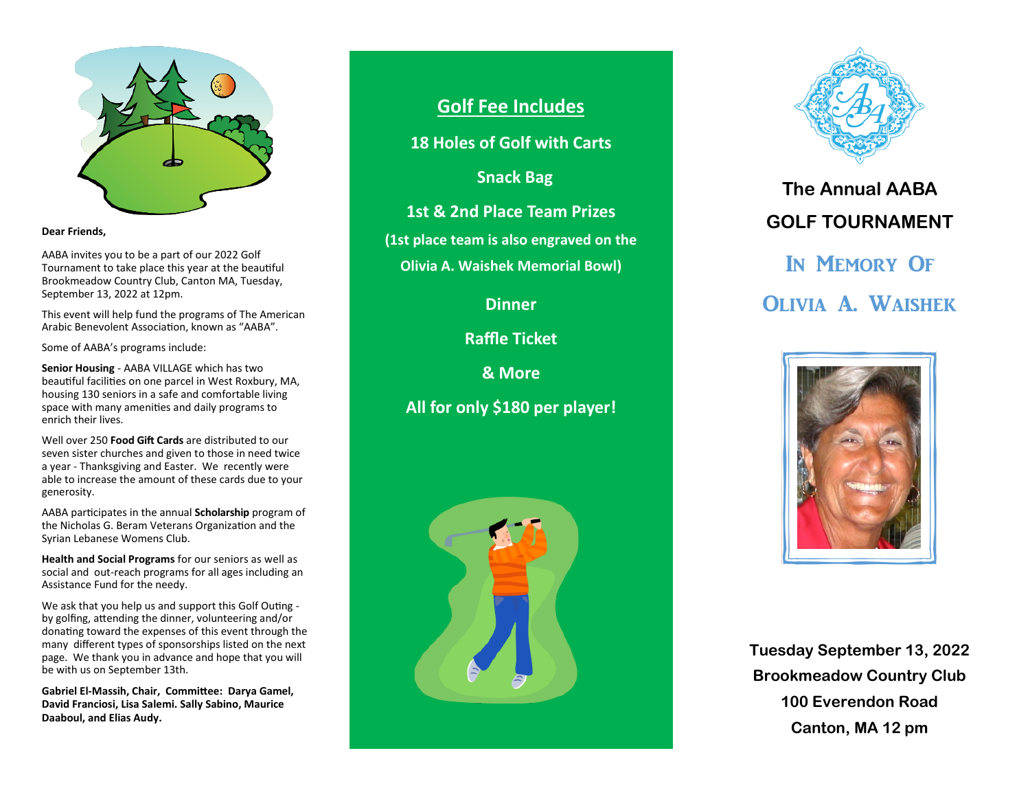

#### **Dear Friends,**

AABA invites you to be a part of our 2022 Golf Tournament to take place this year at the beautiful Brookmeadow Country Club, Canton MA, Tuesday, September 13, 2022 at 12pm.

This event will help fund the programs of The American Arabic Benevolent Association, known as "AABA".

Some of AABA's programs include:

**Senior Housing** - AABA VILLAGE which has two beautiful facilities on one parcel in West Roxbury, MA, housing 130 seniors in a safe and comfortable living space with many amenities and daily programs to enrich their lives.

Well over 250 **Food Gift Cards** are distributed to our seven sister churches and given to those in need twice a year - Thanksgiving and Easter. We recently were able to increase the amount of these cards due to your generosity.

AABA participates in the annual **Scholarship** program of the Nicholas G. Beram Veterans Organization and the Syrian Lebanese Womens Club.

**Health and Social Programs** for our seniors as well as social and out-reach programs for all ages including an Assistance Fund for the needy.

We ask that you help us and support this Golf Outing by golfing, attending the dinner, volunteering and/or donating toward the expenses of this event through the many different types of sponsorships listed on the next page. We thank you in advance and hope that you will be with us on September 13th.

**Gabriel El-Massih, Chair, Committee: Darya Gamel, David Franciosi, Lisa Salemi. Sally Sabino, Maurice Daaboul, and Elias Audy.**

# **Golf Fee Includes**

**18 Holes of Golf with Carts**

 **Snack Bag**

**1st & 2nd Place Team Prizes**

**(1st place team is also engraved on the** 

**Olivia A. Waishek Memorial Bowl)**

**Dinner**

**Raffle Ticket**

**& More** 

**All for only \$180 per player!**





**The Annual AABA GOLF TOURNAMENT**  In Memory Of Olivia A. Waishek



**Tuesday September 13, 2022 Brookmeadow Country Club 100 Everendon Road Canton, MA 12 pm**